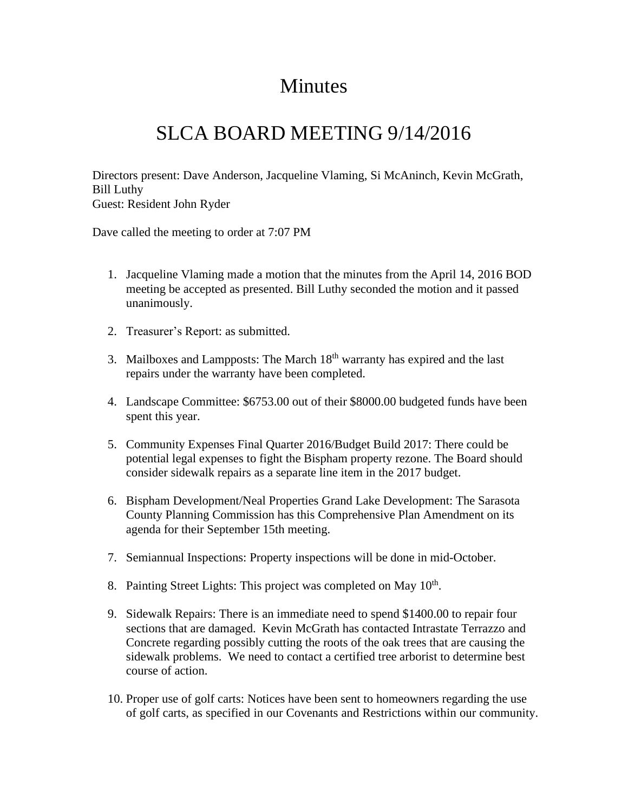## Minutes

## SLCA BOARD MEETING 9/14/2016

Directors present: Dave Anderson, Jacqueline Vlaming, Si McAninch, Kevin McGrath, Bill Luthy Guest: Resident John Ryder

Dave called the meeting to order at 7:07 PM

- 1. Jacqueline Vlaming made a motion that the minutes from the April 14, 2016 BOD meeting be accepted as presented. Bill Luthy seconded the motion and it passed unanimously.
- 2. Treasurer's Report: as submitted.
- 3. Mailboxes and Lampposts: The March  $18<sup>th</sup>$  warranty has expired and the last repairs under the warranty have been completed.
- 4. Landscape Committee: \$6753.00 out of their \$8000.00 budgeted funds have been spent this year.
- 5. Community Expenses Final Quarter 2016/Budget Build 2017: There could be potential legal expenses to fight the Bispham property rezone. The Board should consider sidewalk repairs as a separate line item in the 2017 budget.
- 6. Bispham Development/Neal Properties Grand Lake Development: The Sarasota County Planning Commission has this Comprehensive Plan Amendment on its agenda for their September 15th meeting.
- 7. Semiannual Inspections: Property inspections will be done in mid-October.
- 8. Painting Street Lights: This project was completed on May 10<sup>th</sup>.
- 9. Sidewalk Repairs: There is an immediate need to spend \$1400.00 to repair four sections that are damaged. Kevin McGrath has contacted Intrastate Terrazzo and Concrete regarding possibly cutting the roots of the oak trees that are causing the sidewalk problems. We need to contact a certified tree arborist to determine best course of action.
- 10. Proper use of golf carts: Notices have been sent to homeowners regarding the use of golf carts, as specified in our Covenants and Restrictions within our community.